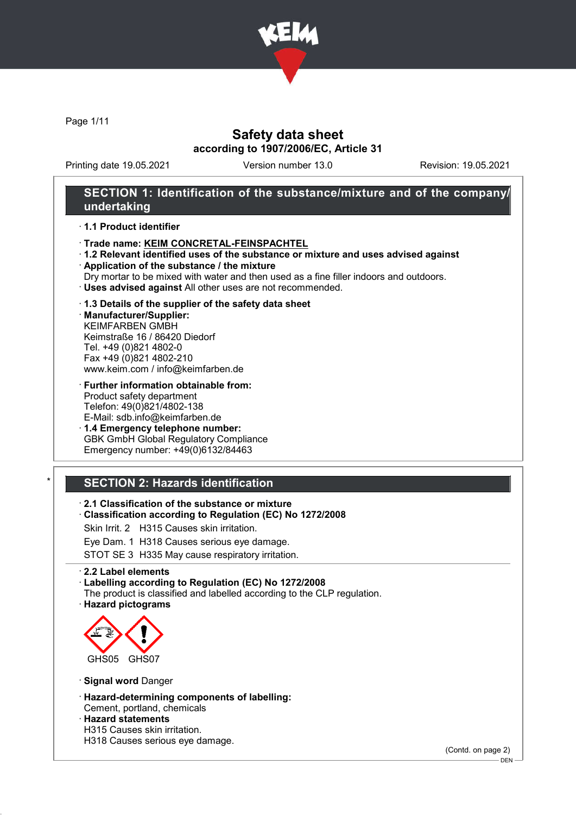

Page 1/11

## Safety data sheet according to 1907/2006/EC, Article 31

Printing date 19.05.2021 Version number 13.0 Revision: 19.05.2021

## SECTION 1: Identification of the substance/mixture and of the company/ undertaking

#### · 1.1 Product identifier

- · Trade name: KEIM CONCRETAL-FEINSPACHTEL
- · 1.2 Relevant identified uses of the substance or mixture and uses advised against
- · Application of the substance / the mixture
- Dry mortar to be mixed with water and then used as a fine filler indoors and outdoors.
- · Uses advised against All other uses are not recommended.

#### · 1.3 Details of the supplier of the safety data sheet

· Manufacturer/Supplier: KEIMFARBEN GMBH Keimstraße 16 / 86420 Diedorf Tel. +49 (0)821 4802-0 Fax +49 (0)821 4802-210 www.keim.com / info@keimfarben.de

· Further information obtainable from: Product safety department Telefon: 49(0)821/4802-138 E-Mail: sdb.info@keimfarben.de

· 1.4 Emergency telephone number: GBK GmbH Global Regulatory Compliance Emergency number: +49(0)6132/84463

# **SECTION 2: Hazards identification**

· 2.1 Classification of the substance or mixture

· Classification according to Regulation (EC) No 1272/2008

Skin Irrit. 2 H315 Causes skin irritation.

Eye Dam. 1 H318 Causes serious eye damage.

STOT SE 3 H335 May cause respiratory irritation.

#### · 2.2 Label elements

· Labelling according to Regulation (EC) No 1272/2008

- The product is classified and labelled according to the CLP regulation.
- · Hazard pictograms



· Signal word Danger

- · Hazard-determining components of labelling:
- Cement, portland, chemicals · Hazard statements
- H315 Causes skin irritation.
- H318 Causes serious eye damage.

(Contd. on page 2)

DEN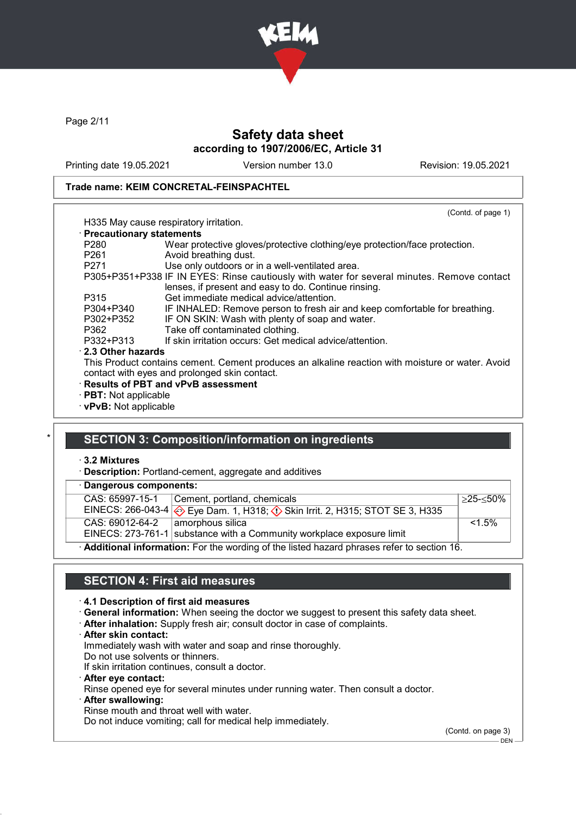

Page 2/11

# Safety data sheet according to 1907/2006/EC, Article 31

Printing date 19.05.2021 Version number 13.0 Revision: 19.05.2021

(Contd. of page 1)

#### Trade name: KEIM CONCRETAL-FEINSPACHTEL

# H335 May cause respiratory irritation.

#### · Precautionary statements

| $\cdot$ Precautionary statements |                                                                                                  |
|----------------------------------|--------------------------------------------------------------------------------------------------|
| P <sub>280</sub>                 | Wear protective gloves/protective clothing/eye protection/face protection.                       |
| P <sub>261</sub>                 | Avoid breathing dust.                                                                            |
| P <sub>271</sub>                 | Use only outdoors or in a well-ventilated area.                                                  |
|                                  | P305+P351+P338 IF IN EYES: Rinse cautiously with water for several minutes. Remove contact       |
|                                  | lenses, if present and easy to do. Continue rinsing.                                             |
| P315                             | Get immediate medical advice/attention.                                                          |
| P304+P340                        | IF INHALED: Remove person to fresh air and keep comfortable for breathing.                       |
| P302+P352                        | IF ON SKIN: Wash with plenty of soap and water.                                                  |
| P362                             | Take off contaminated clothing.                                                                  |
| P332+P313                        | If skin irritation occurs: Get medical advice/attention.                                         |
| 2.3 Other hazards                |                                                                                                  |
|                                  | This Product contains cement. Cement produces an alkaline reaction with moisture or water. Avoid |
|                                  | contact with eyes and prolonged skin contact.                                                    |
|                                  | <b>Results of PBT and vPvB assessment</b>                                                        |
| $\cdot$ PBT: Not applicable      |                                                                                                  |

· vPvB: Not applicable

## SECTION 3: Composition/information on ingredients

### · 3.2 Mixtures

· Description: Portland-cement, aggregate and additives

### · Dangerous components:

| - - - - - - - - - - - - - - - -                                                           |                                                                                |              |
|-------------------------------------------------------------------------------------------|--------------------------------------------------------------------------------|--------------|
| CAS: 65997-15-1                                                                           | Cement, portland, chemicals                                                    | $>25 - 50\%$ |
| EINECS: 266-043-4                                                                         | Eye Dam. 1, H318; $\langle \cdot \rangle$ Skin Irrit. 2, H315; STOT SE 3, H335 |              |
| CAS: 69012-64-2                                                                           | amorphous silica                                                               | $< 1.5\%$    |
|                                                                                           | EINECS: 273-761-1 substance with a Community workplace exposure limit          |              |
| Additional information: For the wording of the listed hazard phrases refer to section 16. |                                                                                |              |

## SECTION 4: First aid measures

#### · 4.1 Description of first aid measures

- · General information: When seeing the doctor we suggest to present this safety data sheet.
- · After inhalation: Supply fresh air; consult doctor in case of complaints.
- · After skin contact:

Immediately wash with water and soap and rinse thoroughly.

- Do not use solvents or thinners.
- If skin irritation continues, consult a doctor.
- · After eye contact: Rinse opened eye for several minutes under running water. Then consult a doctor. · After swallowing:
- Rinse mouth and throat well with water.

Do not induce vomiting; call for medical help immediately.

(Contd. on page 3)

 $-$  DEN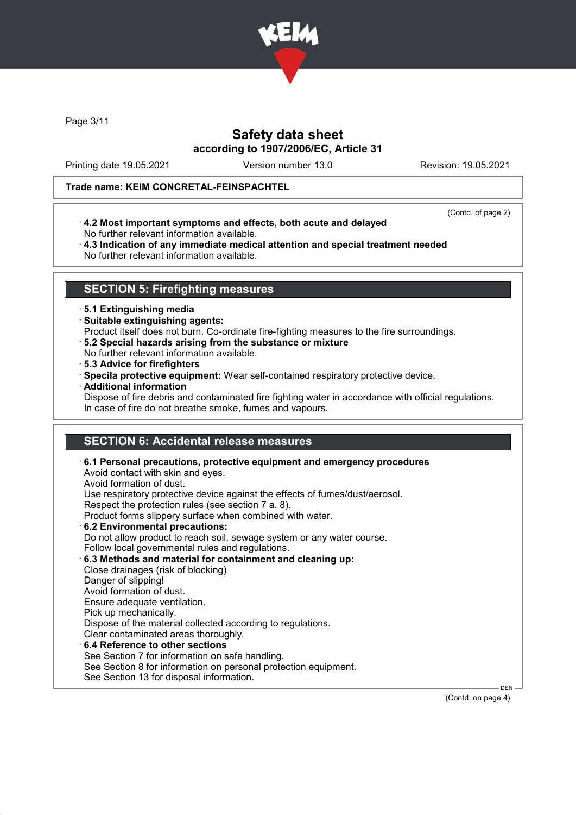

Page 3/11

## Safety data sheet according to 1907/2006/EC, Article 31

Printing date 19.05.2021 Version number 13.0 Revision: 19.05.2021

### Trade name: KEIM CONCRETAL-FEINSPACHTEL

(Contd. of page 2)

- · 4.2 Most important symptoms and effects, both acute and delayed No further relevant information available.
- · 4.3 Indication of any immediate medical attention and special treatment needed No further relevant information available.

### SECTION 5: Firefighting measures

#### · 5.1 Extinguishing media

- · Suitable extinguishing agents:
- Product itself does not burn. Co-ordinate fire-fighting measures to the fire surroundings.
- · 5.2 Special hazards arising from the substance or mixture
- No further relevant information available.
- · 5.3 Advice for firefighters
- · Specila protective equipment: Wear self-contained respiratory protective device.
- · Additional information

Dispose of fire debris and contaminated fire fighting water in accordance with official regulations. In case of fire do not breathe smoke, fumes and vapours.

# SECTION 6: Accidental release measures

· 6.1 Personal precautions, protective equipment and emergency procedures Avoid contact with skin and eyes. Avoid formation of dust. Use respiratory protective device against the effects of fumes/dust/aerosol. Respect the protection rules (see section 7 a. 8). Product forms slippery surface when combined with water. · 6.2 Environmental precautions: Do not allow product to reach soil, sewage system or any water course. Follow local governmental rules and regulations. · 6.3 Methods and material for containment and cleaning up: Close drainages (risk of blocking) Danger of slipping! Avoid formation of dust. Ensure adequate ventilation. Pick up mechanically. Dispose of the material collected according to regulations. Clear contaminated areas thoroughly. 6.4 Reference to other sections See Section 7 for information on safe handling. See Section 8 for information on personal protection equipment. See Section 13 for disposal information. DEN

(Contd. on page 4)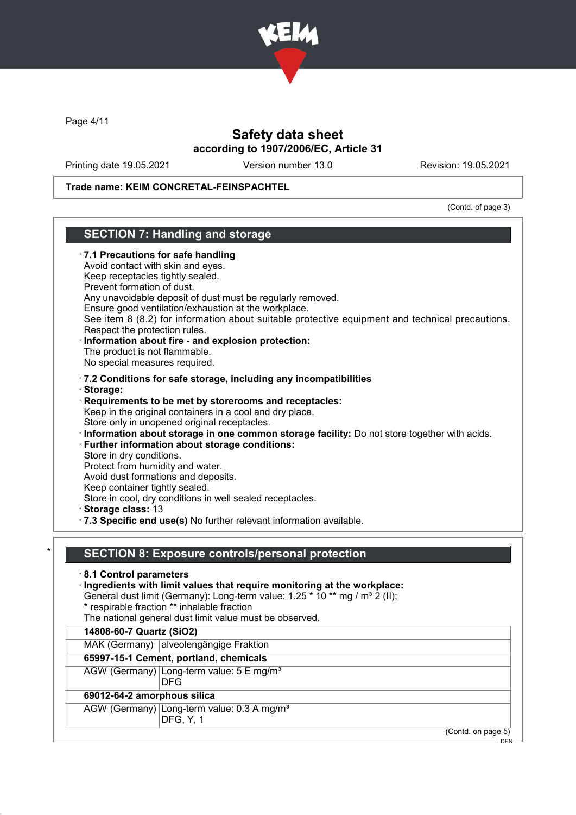

Page 4/11

# Safety data sheet according to 1907/2006/EC, Article 31

Printing date 19.05.2021 Version number 13.0 Revision: 19.05.2021

Trade name: KEIM CONCRETAL-FEINSPACHTEL

(Contd. of page 3)

| Avoid contact with skin and eyes.<br>Keep receptacles tightly sealed.<br>Prevent formation of dust.<br>Respect the protection rules.<br>The product is not flammable.<br>No special measures required. | · 7.1 Precautions for safe handling<br>Any unavoidable deposit of dust must be regularly removed.<br>Ensure good ventilation/exhaustion at the workplace.<br>See item 8 (8.2) for information about suitable protective equipment and technical precautions.<br>Information about fire - and explosion protection:                                         |
|--------------------------------------------------------------------------------------------------------------------------------------------------------------------------------------------------------|------------------------------------------------------------------------------------------------------------------------------------------------------------------------------------------------------------------------------------------------------------------------------------------------------------------------------------------------------------|
|                                                                                                                                                                                                        | .7.2 Conditions for safe storage, including any incompatibilities                                                                                                                                                                                                                                                                                          |
| · Storage:                                                                                                                                                                                             |                                                                                                                                                                                                                                                                                                                                                            |
| Store in dry conditions.<br>Protect from humidity and water.<br>Keep container tightly sealed.                                                                                                         | Requirements to be met by storerooms and receptacles:<br>Keep in the original containers in a cool and dry place.<br>Store only in unopened original receptacles.<br>Information about storage in one common storage facility: Do not store together with acids.<br>· Further information about storage conditions:<br>Avoid dust formations and deposits. |
|                                                                                                                                                                                                        | Store in cool, dry conditions in well sealed receptacles.                                                                                                                                                                                                                                                                                                  |
| Storage class: 13                                                                                                                                                                                      | · 7.3 Specific end use(s) No further relevant information available.                                                                                                                                                                                                                                                                                       |
|                                                                                                                                                                                                        |                                                                                                                                                                                                                                                                                                                                                            |
|                                                                                                                                                                                                        | <b>SECTION 8: Exposure controls/personal protection</b>                                                                                                                                                                                                                                                                                                    |
| 8.1 Control parameters                                                                                                                                                                                 | Ingredients with limit values that require monitoring at the workplace:<br>General dust limit (Germany): Long-term value: 1.25 * 10 ** mg / m <sup>3</sup> 2 (II);<br>* respirable fraction ** inhalable fraction                                                                                                                                          |
|                                                                                                                                                                                                        | The national general dust limit value must be observed.                                                                                                                                                                                                                                                                                                    |
| 14808-60-7 Quartz (SiO2)                                                                                                                                                                               |                                                                                                                                                                                                                                                                                                                                                            |
|                                                                                                                                                                                                        | MAK (Germany) alveolengängige Fraktion                                                                                                                                                                                                                                                                                                                     |
|                                                                                                                                                                                                        | 65997-15-1 Cement, portland, chemicals<br>AGW (Germany) Long-term value: 5 E mg/m <sup>3</sup><br><b>DFG</b>                                                                                                                                                                                                                                               |
|                                                                                                                                                                                                        |                                                                                                                                                                                                                                                                                                                                                            |
| 69012-64-2 amorphous silica                                                                                                                                                                            | AGW (Germany) Long-term value: 0.3 A mg/m <sup>3</sup><br>DFG, Y, 1                                                                                                                                                                                                                                                                                        |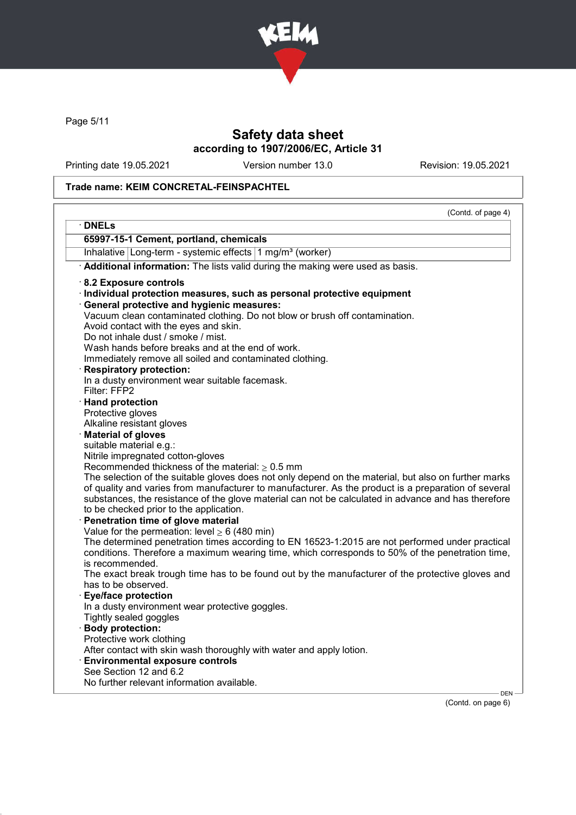

Page 5/11

# Safety data sheet according to 1907/2006/EC, Article 31

Printing date 19.05.2021 Version number 13.0 Revision: 19.05.2021

## Trade name: KEIM CONCRETAL-FEINSPACHTEL

|                                                                                                                    | (Contd. of page 4) |
|--------------------------------------------------------------------------------------------------------------------|--------------------|
| · DNELs                                                                                                            |                    |
| 65997-15-1 Cement, portland, chemicals                                                                             |                    |
| Inhalative Long-term - systemic effects 1 mg/m <sup>3</sup> (worker)                                               |                    |
| Additional information: The lists valid during the making were used as basis.                                      |                    |
| 8.2 Exposure controls                                                                                              |                    |
| · Individual protection measures, such as personal protective equipment                                            |                    |
| <b>General protective and hygienic measures:</b>                                                                   |                    |
| Vacuum clean contaminated clothing. Do not blow or brush off contamination.                                        |                    |
| Avoid contact with the eyes and skin.                                                                              |                    |
| Do not inhale dust / smoke / mist.                                                                                 |                    |
| Wash hands before breaks and at the end of work.                                                                   |                    |
| Immediately remove all soiled and contaminated clothing.                                                           |                    |
| <b>Respiratory protection:</b><br>In a dusty environment wear suitable facemask.                                   |                    |
| Filter: FFP2                                                                                                       |                    |
| · Hand protection                                                                                                  |                    |
| Protective gloves                                                                                                  |                    |
| Alkaline resistant gloves                                                                                          |                    |
| <b>Material of gloves</b>                                                                                          |                    |
| suitable material e.g.:                                                                                            |                    |
| Nitrile impregnated cotton-gloves                                                                                  |                    |
| Recommended thickness of the material: $> 0.5$ mm                                                                  |                    |
| The selection of the suitable gloves does not only depend on the material, but also on further marks               |                    |
| of quality and varies from manufacturer to manufacturer. As the product is a preparation of several                |                    |
| substances, the resistance of the glove material can not be calculated in advance and has therefore                |                    |
| to be checked prior to the application.                                                                            |                    |
| Penetration time of glove material                                                                                 |                    |
| Value for the permeation: level $\geq 6$ (480 min)                                                                 |                    |
| The determined penetration times according to EN 16523-1:2015 are not performed under practical                    |                    |
| conditions. Therefore a maximum wearing time, which corresponds to 50% of the penetration time,<br>is recommended. |                    |
| The exact break trough time has to be found out by the manufacturer of the protective gloves and                   |                    |
| has to be observed.                                                                                                |                    |
| · Eye/face protection                                                                                              |                    |
| In a dusty environment wear protective goggles.                                                                    |                    |
| Tightly sealed goggles                                                                                             |                    |
| · Body protection:                                                                                                 |                    |
| Protective work clothing                                                                                           |                    |
| After contact with skin wash thoroughly with water and apply lotion.                                               |                    |
| <b>Environmental exposure controls</b>                                                                             |                    |
| See Section 12 and 6.2                                                                                             |                    |
| No further relevant information available.                                                                         |                    |

(Contd. on page 6)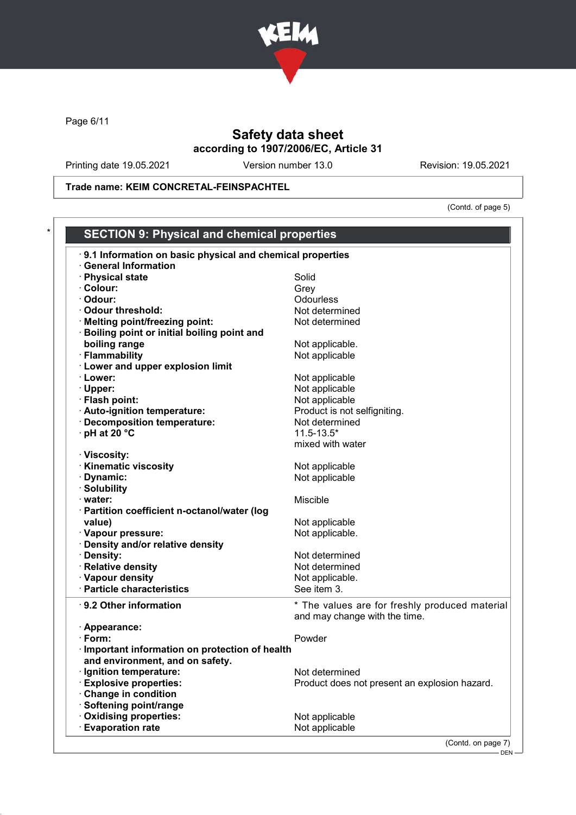

Page 6/11

# Safety data sheet according to 1907/2006/EC, Article 31

Printing date 19.05.2021 Version number 13.0 Revision: 19.05.2021

Trade name: KEIM CONCRETAL-FEINSPACHTEL

(Contd. of page 5)

| 9.1 Information on basic physical and chemical properties |                                                |
|-----------------------------------------------------------|------------------------------------------------|
| <b>General Information</b>                                |                                                |
| · Physical state                                          | Solid                                          |
| · Colour:                                                 | Grey                                           |
| · Odour:                                                  | <b>Odourless</b>                               |
| · Odour threshold:                                        | Not determined                                 |
| · Melting point/freezing point:                           | Not determined                                 |
| <b>Boiling point or initial boiling point and</b>         |                                                |
| boiling range                                             | Not applicable.                                |
| · Flammability                                            | Not applicable                                 |
| <b>Lower and upper explosion limit</b>                    |                                                |
| · Lower:                                                  | Not applicable                                 |
| · Upper:                                                  | Not applicable                                 |
| · Flash point:                                            | Not applicable                                 |
| · Auto-ignition temperature:                              | Product is not selfigniting.                   |
| · Decomposition temperature:                              | Not determined                                 |
| · pH at 20 °C                                             | $11.5 - 13.5*$                                 |
|                                                           | mixed with water                               |
| · Viscosity:                                              |                                                |
| <b>Kinematic viscosity</b>                                | Not applicable                                 |
| · Dynamic:                                                | Not applicable                                 |
| · Solubility                                              |                                                |
| · water:                                                  | Miscible                                       |
| · Partition coefficient n-octanol/water (log              |                                                |
| value)                                                    | Not applicable                                 |
| · Vapour pressure:                                        | Not applicable.                                |
| · Density and/or relative density                         |                                                |
| · Density:                                                | Not determined                                 |
| · Relative density                                        | Not determined                                 |
| · Vapour density                                          | Not applicable.                                |
| · Particle characteristics                                | See item 3.                                    |
|                                                           |                                                |
| ⋅ 9.2 Other information                                   | * The values are for freshly produced material |
|                                                           | and may change with the time.                  |
| · Appearance:                                             |                                                |
| $\cdot$ Form:                                             | Powder                                         |
| · Important information on protection of health           |                                                |
| and environment, and on safety.                           |                                                |
| · Ignition temperature:                                   | Not determined                                 |
| <b>Explosive properties:</b>                              | Product does not present an explosion hazard.  |
| Change in condition                                       |                                                |
| Softening point/range                                     |                                                |
| Oxidising properties:                                     | Not applicable                                 |
|                                                           | Not applicable                                 |

<sup>–</sup> DEN –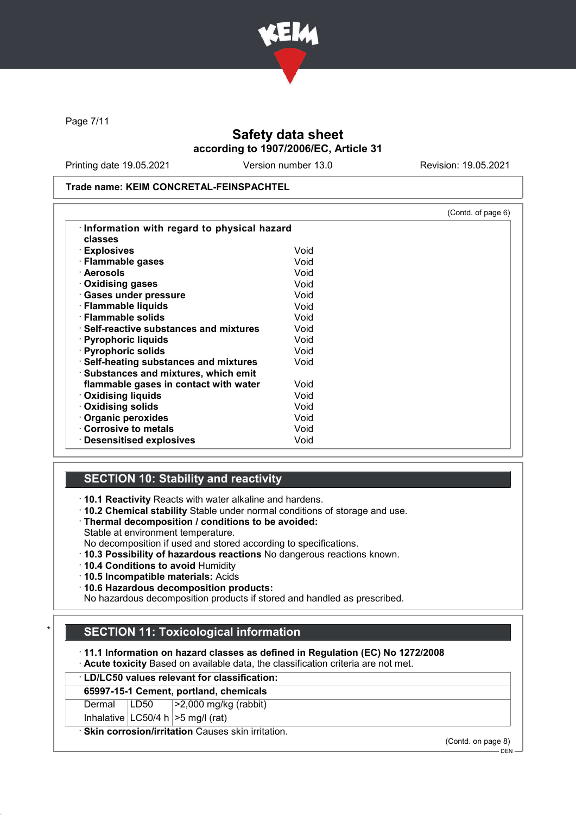

Page 7/11

# Safety data sheet according to 1907/2006/EC, Article 31

Printing date 19.05.2021 Version number 13.0 Revision: 19.05.2021

Trade name: KEIM CONCRETAL-FEINSPACHTEL

|                                               |      | (Contd. of page 6) |
|-----------------------------------------------|------|--------------------|
| Information with regard to physical hazard    |      |                    |
| classes                                       |      |                    |
| · Explosives                                  | Void |                    |
| · Flammable gases                             | Void |                    |
| · Aerosols                                    | Void |                    |
| $\cdot$ Oxidising gases                       | Void |                    |
| · Gases under pressure                        | Void |                    |
| · Flammable liquids                           | Void |                    |
| $\cdot$ Flammable solids                      | Void |                    |
| $\cdot$ Self-reactive substances and mixtures | Void |                    |
| · Pyrophoric liquids                          | Void |                    |
| · Pyrophoric solids                           | Void |                    |
| · Self-heating substances and mixtures        | Void |                    |
| Substances and mixtures, which emit           |      |                    |
| flammable gases in contact with water         | Void |                    |
| <b>⋅ Oxidising liquids</b>                    | Void |                    |
| $\cdot$ Oxidising solids                      | Void |                    |
| Organic peroxides                             | Void |                    |
| Corrosive to metals                           | Void |                    |
| <b>Desensitised explosives</b>                | Void |                    |

### SECTION 10: Stability and reactivity

· 10.1 Reactivity Reacts with water alkaline and hardens.

- · 10.2 Chemical stability Stable under normal conditions of storage and use.
- · Thermal decomposition / conditions to be avoided:
- Stable at environment temperature.
- No decomposition if used and stored according to specifications.
- · 10.3 Possibility of hazardous reactions No dangerous reactions known.
- · 10.4 Conditions to avoid Humidity
- · 10.5 Incompatible materials: Acids
- · 10.6 Hazardous decomposition products:

No hazardous decomposition products if stored and handled as prescribed.

# **SECTION 11: Toxicological information**

· 11.1 Information on hazard classes as defined in Regulation (EC) No 1272/2008

· Acute toxicity Based on available data, the classification criteria are not met.

# · LD/LC50 values relevant for classification:

# 65997-15-1 Cement, portland, chemicals

Dermal | LD50 | >2,000 mg/kg (rabbit)

Inhalative  $|LOG0/4 h| > 5 mg/l$  (rat)

· Skin corrosion/irritation Causes skin irritation.

(Contd. on page 8)

 $-$  DEN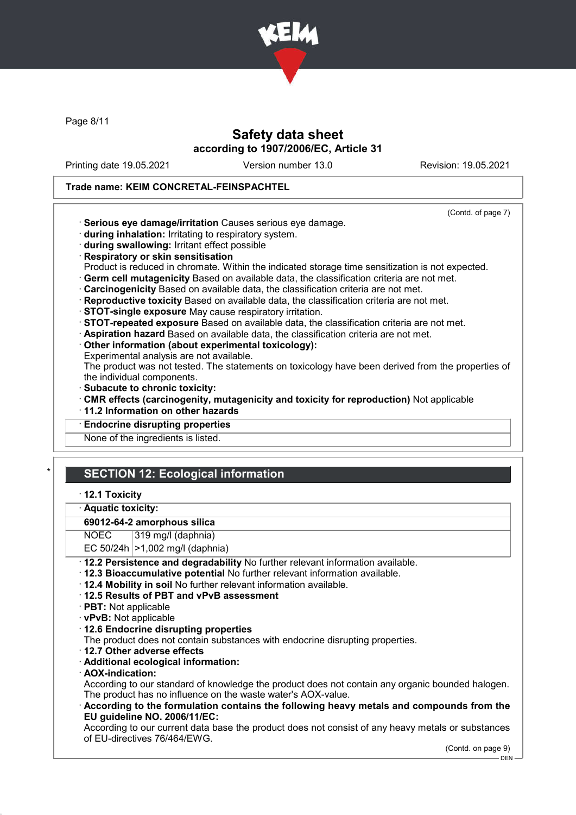

Page 8/11

## Safety data sheet according to 1907/2006/EC, Article 31

Printing date 19.05.2021 Version number 13.0 Revision: 19.05.2021

(Contd. of page 7)

### Trade name: KEIM CONCRETAL-FEINSPACHTEL

- · Serious eye damage/irritation Causes serious eye damage.
- · during inhalation: Irritating to respiratory system.
- · during swallowing: Irritant effect possible
- · Respiratory or skin sensitisation
- Product is reduced in chromate. Within the indicated storage time sensitization is not expected.
- · Germ cell mutagenicity Based on available data, the classification criteria are not met.
- · Carcinogenicity Based on available data, the classification criteria are not met.
- · Reproductive toxicity Based on available data, the classification criteria are not met.
- · STOT-single exposure May cause respiratory irritation.
- · STOT-repeated exposure Based on available data, the classification criteria are not met.
- · Aspiration hazard Based on available data, the classification criteria are not met.
- · Other information (about experimental toxicology):
- Experimental analysis are not available.

The product was not tested. The statements on toxicology have been derived from the properties of the individual components.

- · Subacute to chronic toxicity:
- · CMR effects (carcinogenity, mutagenicity and toxicity for reproduction) Not applicable
- · 11.2 Information on other hazards
- **Endocrine disrupting properties**

None of the ingredients is listed.

# **SECTION 12: Ecological information**

- · 12.1 Toxicity
- Aquatic toxicity:

#### 69012-64-2 amorphous silica

- NOEC 319 mg/l (daphnia)
- EC  $50/24h$   $>1.002$  ma/l (daphnia)
- · 12.2 Persistence and degradability No further relevant information available.
- · 12.3 Bioaccumulative potential No further relevant information available.
- · 12.4 Mobility in soil No further relevant information available.
- · 12.5 Results of PBT and vPvB assessment
- · PBT: Not applicable
- · vPvB: Not applicable
- · 12.6 Endocrine disrupting properties
- The product does not contain substances with endocrine disrupting properties.
- · 12.7 Other adverse effects
- · Additional ecological information:
- · AOX-indication:

According to our standard of knowledge the product does not contain any organic bounded halogen. The product has no influence on the waste water's AOX-value.

· According to the formulation contains the following heavy metals and compounds from the EU guideline NO. 2006/11/EC:

According to our current data base the product does not consist of any heavy metals or substances of EU-directives 76/464/EWG.

(Contd. on page 9)

DEN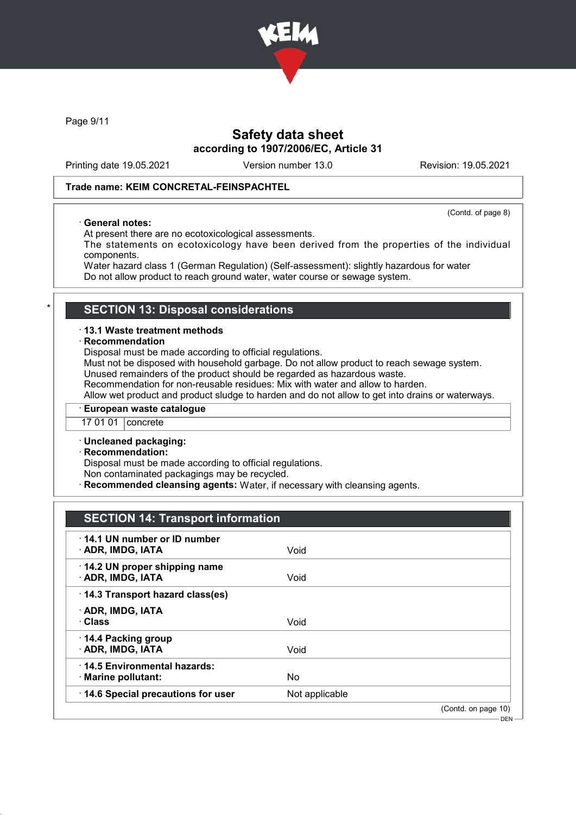

Page 9/11

## Safety data sheet according to 1907/2006/EC, Article 31

Printing date 19.05.2021 Version number 13.0 Revision: 19.05.2021

### Trade name: KEIM CONCRETAL-FEINSPACHTEL

(Contd. of page 8)

### · General notes:

At present there are no ecotoxicological assessments.

The statements on ecotoxicology have been derived from the properties of the individual components.

Water hazard class 1 (German Regulation) (Self-assessment): slightly hazardous for water Do not allow product to reach ground water, water course or sewage system.

### **SECTION 13: Disposal considerations**

#### · 13.1 Waste treatment methods

#### **Recommendation**

Disposal must be made according to official regulations.

Must not be disposed with household garbage. Do not allow product to reach sewage system. Unused remainders of the product should be regarded as hazardous waste.

Recommendation for non-reusable residues: Mix with water and allow to harden.

Allow wet product and product sludge to harden and do not allow to get into drains or waterways.

### · European waste catalogue

17 01 01 concrete

#### · Uncleaned packaging:

#### · Recommendation:

Disposal must be made according to official regulations.

Non contaminated packagings may be recycled.

Recommended cleansing agents: Water, if necessary with cleansing agents.

### SECTION 14: Transport information

| 14.1 UN number or ID number<br>· ADR, IMDG, IATA   | Void           |                     |
|----------------------------------------------------|----------------|---------------------|
| 14.2 UN proper shipping name<br>· ADR, IMDG, IATA  | Void           |                     |
| 14.3 Transport hazard class(es)                    |                |                     |
| · ADR, IMDG, IATA<br>· Class                       | Void           |                     |
| 14.4 Packing group<br>· ADR, IMDG, IATA            | Void           |                     |
| 14.5 Environmental hazards:<br>· Marine pollutant: | No             |                     |
| 14.6 Special precautions for user                  | Not applicable |                     |
|                                                    |                | (Contd. on page 10) |

DEN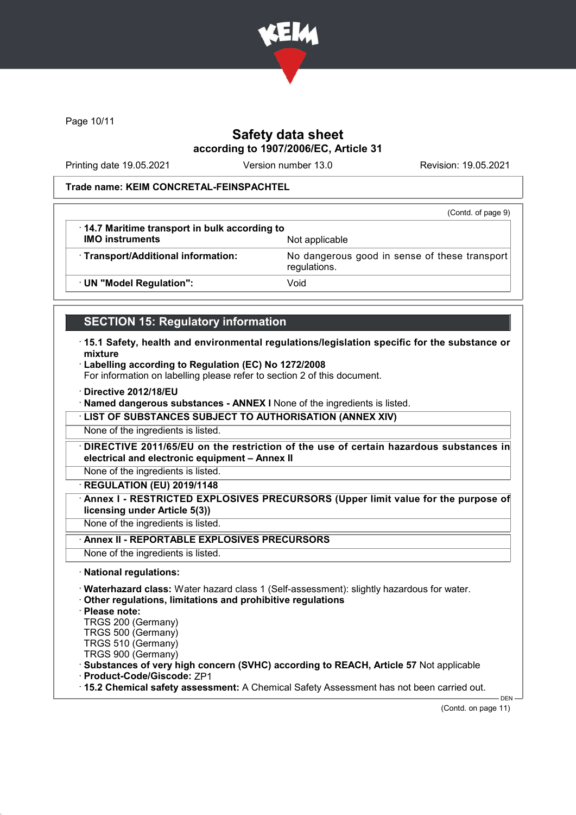

Page 10/11

# Safety data sheet according to 1907/2006/EC, Article 31

Printing date 19.05.2021 Version number 13.0 Revision: 19.05.2021

### Trade name: KEIM CONCRETAL-FEINSPACHTEL

|                                                      | (Contd. of page 9)                                            |
|------------------------------------------------------|---------------------------------------------------------------|
| $\cdot$ 14.7 Maritime transport in bulk according to |                                                               |
| <b>IMO instruments</b>                               | Not applicable                                                |
| · Transport/Additional information:                  | No dangerous good in sense of these transport<br>regulations. |
| · UN "Model Regulation":                             | Void                                                          |

## SECTION 15: Regulatory information

- · 15.1 Safety, health and environmental regulations/legislation specific for the substance or mixture
- · Labelling according to Regulation (EC) No 1272/2008

For information on labelling please refer to section 2 of this document.

· Directive 2012/18/EU

· Named dangerous substances - ANNEX I None of the ingredients is listed.

· LIST OF SUBSTANCES SUBJECT TO AUTHORISATION (ANNEX XIV)

None of the ingredients is listed.

· DIRECTIVE 2011/65/EU on the restriction of the use of certain hazardous substances in electrical and electronic equipment – Annex II

None of the ingredients is listed.

· REGULATION (EU) 2019/1148

Annex I - RESTRICTED EXPLOSIVES PRECURSORS (Upper limit value for the purpose of licensing under Article 5(3))

None of the ingredients is listed.

Annex II - REPORTABLE EXPLOSIVES PRECURSORS

None of the ingredients is listed.

· National regulations:

· Waterhazard class: Water hazard class 1 (Self-assessment): slightly hazardous for water.

- · Other regulations, limitations and prohibitive regulations
- · Please note:

TRGS 200 (Germany)

TRGS 500 (Germany)

TRGS 510 (Germany)

TRGS 900 (Germany)

· Substances of very high concern (SVHC) according to REACH, Article 57 Not applicable

· Product-Code/Giscode: ZP1

· 15.2 Chemical safety assessment: A Chemical Safety Assessment has not been carried out.

(Contd. on page 11)

DEN